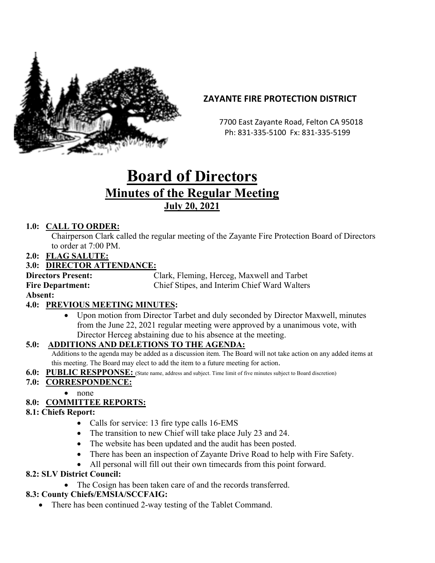

## **ZAYANTE FIRE PROTECTION DISTRICT**

 7700 East Zayante Road, Felton CA 95018 Ph: 831-335-5100 Fx: 831-335-5199

# **Board of Directors Minutes of the Regular Meeting July 20, 2021**

## **1.0: CALL TO ORDER:**

Chairperson Clark called the regular meeting of the Zayante Fire Protection Board of Directors to order at 7:00 PM.

**2.0: FLAG SALUTE:**

## **3.0: DIRECTOR ATTENDANCE:**

**Directors Present:** Clark, Fleming, Herceg, Maxwell and Tarbet **Fire Department:** Chief Stipes, and Interim Chief Ward Walters

**Absent:** 

#### **4.0: PREVIOUS MEETING MINUTES:**

• Upon motion from Director Tarbet and duly seconded by Director Maxwell, minutes from the June 22, 2021 regular meeting were approved by a unanimous vote, with Director Herceg abstaining due to his absence at the meeting.

#### **5.0: ADDITIONS AND DELETIONS TO THE AGENDA:**

Additions to the agenda may be added as a discussion item. The Board will not take action on any added items at this meeting. The Board may elect to add the item to a future meeting for action.

**6.0: PUBLIC RESPPONSE:** (State name, address and subject. Time limit of five minutes subject to Board discretion)

## **7.0: CORRESPONDENCE:**

• none

## **8.0: COMMITTEE REPORTS:**

#### **8.1: Chiefs Report:**

- Calls for service: 13 fire type calls 16-EMS
- The transition to new Chief will take place July 23 and 24.
- The website has been updated and the audit has been posted.
- There has been an inspection of Zayante Drive Road to help with Fire Safety.
- All personal will fill out their own timecards from this point forward.

#### **8.2: SLV District Council:**

• The Cosign has been taken care of and the records transferred.

## **8.3: County Chiefs/EMSIA/SCCFAIG:**

There has been continued 2-way testing of the Tablet Command.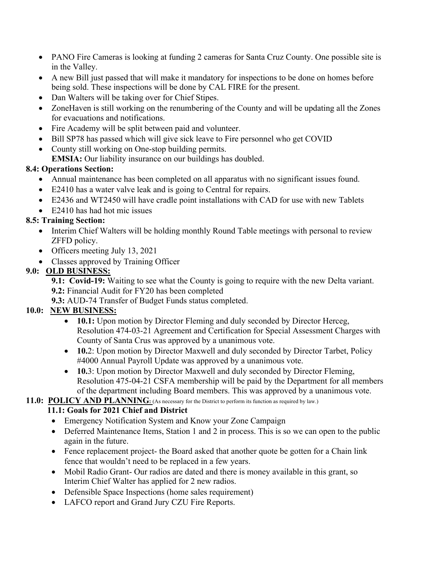- PANO Fire Cameras is looking at funding 2 cameras for Santa Cruz County. One possible site is in the Valley.
- A new Bill just passed that will make it mandatory for inspections to be done on homes before being sold. These inspections will be done by CAL FIRE for the present.
- Dan Walters will be taking over for Chief Stipes.
- ZoneHaven is still working on the renumbering of the County and will be updating all the Zones for evacuations and notifications.
- Fire Academy will be split between paid and volunteer.
- Bill SP78 has passed which will give sick leave to Fire personnel who get COVID
- County still working on One-stop building permits. **EMSIA:** Our liability insurance on our buildings has doubled.

#### **8.4: Operations Section:**

- Annual maintenance has been completed on all apparatus with no significant issues found.
- E2410 has a water valve leak and is going to Central for repairs.
- E2436 and WT2450 will have cradle point installations with CAD for use with new Tablets
- E2410 has had hot mic issues

#### **8.5: Training Section:**

- Interim Chief Walters will be holding monthly Round Table meetings with personal to review ZFFD policy.
- Officers meeting July 13, 2021
- Classes approved by Training Officer

#### **9.0: OLD BUSINESS:**

**9.1: Covid-19:** Waiting to see what the County is going to require with the new Delta variant. **9.2:** Financial Audit for FY20 has been completed

**9.3:** AUD-74 Transfer of Budget Funds status completed.

#### **10.0: NEW BUSINESS:**

- **10.1:** Upon motion by Director Fleming and duly seconded by Director Herceg, Resolution 474-03-21 Agreement and Certification for Special Assessment Charges with County of Santa Crus was approved by a unanimous vote.
- **10.**2: Upon motion by Director Maxwell and duly seconded by Director Tarbet, Policy #4000 Annual Payroll Update was approved by a unanimous vote.
- **10.**3: Upon motion by Director Maxwell and duly seconded by Director Fleming, Resolution 475-04-21 CSFA membership will be paid by the Department for all members of the department including Board members. This was approved by a unanimous vote.

#### 11.0: POLICY AND PLANNING: (As necessary for the District to perform its function as required by law.)

#### **11.1: Goals for 2021 Chief and District**

- Emergency Notification System and Know your Zone Campaign
- Deferred Maintenance Items, Station 1 and 2 in process. This is so we can open to the public again in the future.
- Fence replacement project- the Board asked that another quote be gotten for a Chain link fence that wouldn't need to be replaced in a few years.
- Mobil Radio Grant- Our radios are dated and there is money available in this grant, so Interim Chief Walter has applied for 2 new radios.
- Defensible Space Inspections (home sales requirement)
- LAFCO report and Grand Jury CZU Fire Reports.